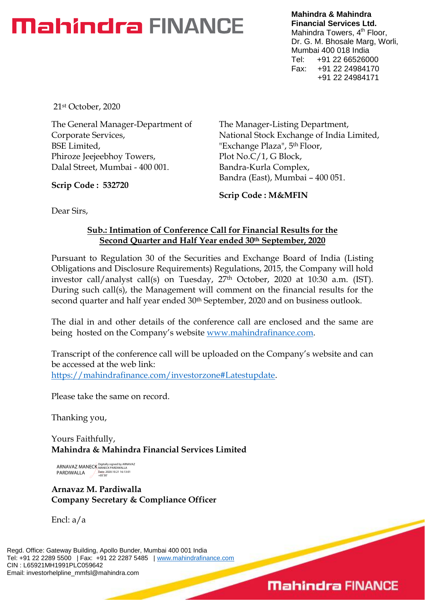# **Mahindra FINANCE**

**Mahindra & Mahindra Financial Services Ltd.** Mahindra Towers, 4<sup>th</sup> Floor, Dr. G. M. Bhosale Marg, Worli, Mumbai 400 018 India Tel: +91 22 66526000 Fax: +91 22 24984170 +91 22 24984171

21st October, 2020

The General Manager-Department of Corporate Services, BSE Limited, Phiroze Jeejeebhoy Towers, Dalal Street, Mumbai - 400 001.

**Scrip Code : 532720**

The Manager-Listing Department, National Stock Exchange of India Limited, "Exchange Plaza", 5th Floor, Plot No.C/1, G Block, Bandra-Kurla Complex, Bandra (East), Mumbai – 400 051.

**Scrip Code : M&MFIN**

Dear Sirs,

### **Sub.: Intimation of Conference Call for Financial Results for the Second Quarter and Half Year ended 30th September, 2020**

Pursuant to Regulation 30 of the Securities and Exchange Board of India (Listing Obligations and Disclosure Requirements) Regulations, 2015, the Company will hold investor call/analyst call(s) on Tuesday, 27<sup>th</sup> October, 2020 at 10:30 a.m. (IST). During such call(s), the Management will comment on the financial results for the second quarter and half year ended 30<sup>th</sup> September, 2020 and on business outlook.

The dial in and other details of the conference call are enclosed and the same are being hosted on the Company's website [www.mahindrafinance.com.](http://www.mahindrafinance.com/)

Transcript of the conference call will be uploaded on the Company's website and can be accessed at the web link: [https://mahindrafinance.com/investorzone#Latestupdate.](https://mahindrafinance.com/investorzone#Latestupdate)

Please take the same on record.

Thanking you,

Yours Faithfully, **Mahindra & Mahindra Financial Services Limited**

ARNAVAZ MANECK PARDIWALLA Digitally signed by ARNAVAZ MANECK PARDIWALLA Date: 2020.10.21 16:13:01 +05'30'

**Arnavaz M. Pardiwalla Company Secretary & Compliance Officer**

Encl: a/a

Regd. Office: Gateway Building, Apollo Bunder, Mumbai 400 001 India Tel: +91 22 2289 5500 | Fax: +91 22 2287 5485 | [www.mahindrafinance.com](http://www.mahindrafinance.com/) CIN : L65921MH1991PLC059642 Email: investorhelpline\_mmfsl@mahindra.com

# **Mahindra FINANCE**